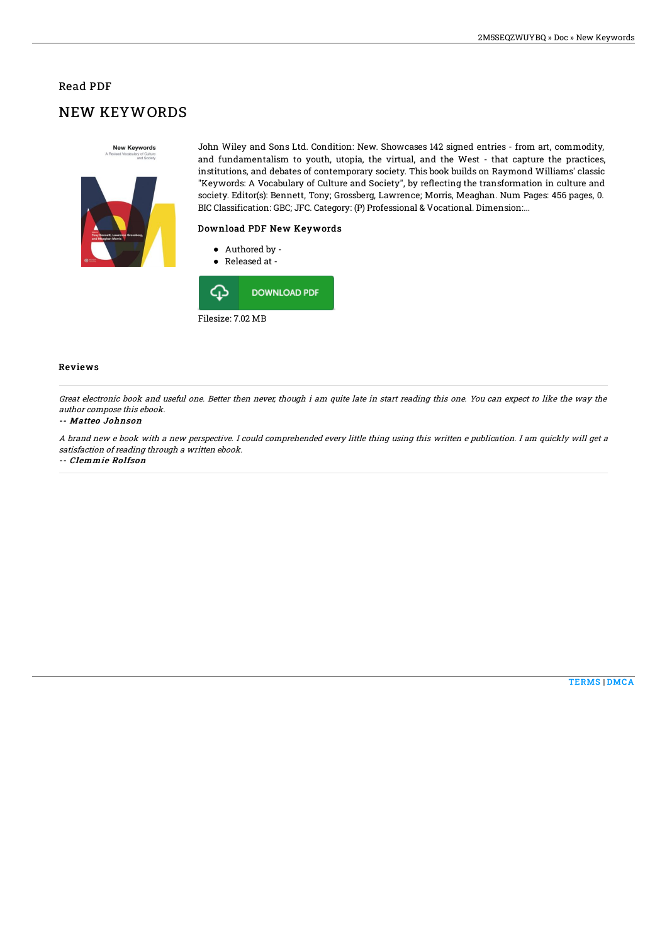### Read PDF

# NEW KEYWORDS



John Wiley and Sons Ltd. Condition: New. Showcases 142 signed entries - from art, commodity, and fundamentalism to youth, utopia, the virtual, and the West - that capture the practices, institutions, and debates of contemporary society. This book builds on Raymond Williams' classic "Keywords: A Vocabulary of Culture and Society", by reflecting the transformation in culture and society. Editor(s): Bennett, Tony; Grossberg, Lawrence; Morris, Meaghan. Num Pages: 456 pages, 0. BIC Classification: GBC; JFC. Category: (P) Professional & Vocational. Dimension:...

### Download PDF New Keywords

- Authored by -
- Released at -



#### Reviews

Great electronic book and useful one. Better then never, though i am quite late in start reading this one. You can expect to like the way the author compose this ebook.

#### -- Matteo Johnson

A brand new <sup>e</sup> book with <sup>a</sup> new perspective. I could comprehended every little thing using this written <sup>e</sup> publication. I am quickly will get <sup>a</sup> satisfaction of reading through <sup>a</sup> written ebook.

-- Clemmie Rolfson